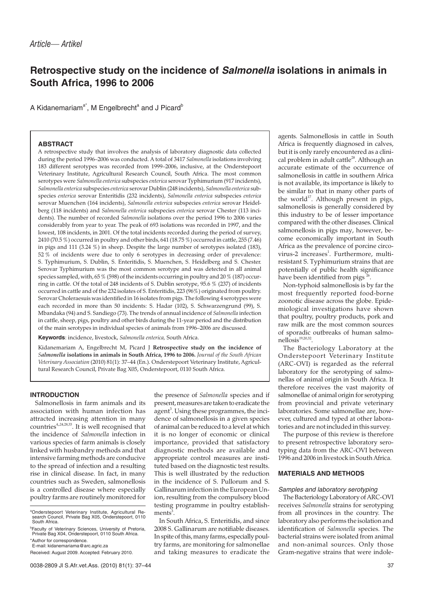# **Retrospective study on the incidence of Salmonella isolations in animals in South Africa, 1996 to 2006**

A Kidanemariam<sup>a\*</sup>, M Engelbrecht<sup>a</sup> and J Picard<sup>b</sup>

# **ABSTRACT**

A retrospective study that involves the analysis of laboratory diagnostic data collected during the period 1996–2006 was conducted. A total of 3417 *Salmonella* isolations involving 183 different serotypes was recorded from 1999–2006, inclusive, at the Onderstepoort Veterinary Institute, Agricultural Research Council, South Africa. The most common serotypes were *Salmonella enterica* subspecies *enterica* serovar Typhimurium (917 incidents), *Salmonella enterica* subspecies *enterica* serovar Dublin (248 incidents), *Salmonella enterica* subspecies *enterica* serovar Enteritidis (232 incidents), *Salmonella enterica* subspecies *enterica* serovar Muenchen (164 incidents), *Salmonella enterica* subspecies *enterica* serovar Heidelberg (118 incidents) and *Salmonella enterica* subspecies *enterica* serovar Chester (113 incidents). The number of recorded *Salmonella* isolations over the period 1996 to 2006 varies considerably from year to year. The peak of 693 isolations was recorded in 1997, and the lowest, 108 incidents, in 2001. Of the total incidents recorded during the period of survey, 2410 (70.5 %) occurred in poultry and other birds, 641 (18.75 %) occurred in cattle, 255 (7.46) in pigs and 111 (3.24 %) in sheep. Despite the large number of serotypes isolated (183), 52 % of incidents were due to only 6 serotypes in decreasing order of prevalence: S. Typhimurium, S. Dublin, S. Enteritidis, S. Muenchen, S. Heidelberg and S. Chester. Serovar Typhimurium was the most common serotype and was detected in all animal species sampled, with, 65 % (598) of the incidents occurring in poultry and 20 % (187) occurring in cattle. Of the total of 248 incidents of S. Dublin serotype, 95.6 % (237) of incidents occurred in cattle and of the 232 isolates of S. Enteritidis, 223 (96%) originated from poultry. Serovar Choleraesuis was identified in 16 isolates from pigs. The following 4 serotypes were each recorded in more than 50 incidents: S. Hadar (102), S. Schwarzengrund (99), S. Mbandaka (94) and S. Sandiego (73). The trends of annual incidence of *Salmonella* infection in cattle, sheep, pigs, poultry and other birds during the 11-year period and the distribution of the main serotypes in individual species of animals from 1996–2006 are discussed.

**Keywords**: incidence, livestock, *Salmonella enterica,* South Africa.

Kidanemariam A, Engelbrecht M, Picard J **Retrospective study on the incidence of** *Salmonella* **isolations in animals in South Africa, 1996 to 2006.** *Journal of the South African Veterinary Association* (2010) 81(1): 37–44 (En.). Onderstepoort Veterinary Institute, Agricultural Research Council, Private Bag X05, Onderstepoort, 0110 South Africa.

# **INTRODUCTION**

Salmonellosis in farm animals and its association with human infection has attracted increasing attention in many countries<sup>4,,24,28,33</sup>. It is well recognised that the incidence of *Salmonella* infection in various species of farm animals is closely linked with husbandry methods and that intensive farming methods are conducive to the spread of infection and a resulting rise in clinical disease. In fact, in many countries such as Sweden, salmonellosis is a controlled disease where especially poultry farms are routinely monitored for

\*Author for correspondence. E-mail: kidanemariama@arc.agric.za the presence of *Salmonella* species and if present, measures are taken to eradicate the agent<sup>3</sup>. Using these programmes, the incidence of salmonellosis in a given species of animal can be reduced to a level at which it is no longer of economic or clinical importance, provided that satisfactory diagnostic methods are available and appropriate control measures are instituted based on the diagnostic test results. This is well illustrated by the reduction in the incidence of S. Pullorum and S. Gallinarum infection in the European Union, resulting from the compulsory blood testing programme in poultry establishments<sup>3</sup>.

In South Africa, S. Enteritidis, and since 2008 S. Gallinarum are notifiable diseases. In spite of this, many farms, especially poultry farms, are monitoring for salmonellae and taking measures to eradicate the

agents. Salmonellosis in cattle in South Africa is frequently diagnosed in calves, but it is only rarely encountered as a clinical problem in adult cattle<sup>28</sup>. Although an accurate estimate of the occurrence of salmonellosis in cattle in southern Africa is not available, its importance is likely to be similar to that in many other parts of the world<sup>17</sup>. Although present in pigs, salmonellosis is generally considered by this industry to be of lesser importance compared with the other diseases. Clinical salmonellosis in pigs may, however, become economically important in South Africa as the prevalence of porcine circovirus-2 increases<sup>1</sup>. Furthermore, multiresistant S. Typhimurium strains that are potentially of public health significance have been identified from pigs<sup>26</sup>.

Non-typhoid salmonellosis is by far the most frequently reported food-borne zoonotic disease across the globe. Epidemiological investigations have shown that poultry, poultry products, pork and raw milk are the most common sources of sporadic outbreaks of human salmo $nelloss<sup>19,20,32</sup>$ .

The Bacteriology Laboratory at the Onderstepoort Veterinary Institute (ARC-OVI) is regarded as the referral laboratory for the serotyping of salmonellas of animal origin in South Africa. It therefore receives the vast majority of salmonellae of animal origin for serotyping from provincial and private veterinary laboratories. Some salmonellae are, however, cultured and typed at other laboratories and are not included in this survey.

The purpose of this review is therefore to present retrospective laboratory serotyping data from the ARC-OVI between 1996 and 2006 in livestock in South Africa.

# **MATERIALS AND METHODS**

#### Samples and laboratory serotyping

The Bacteriology Laboratory of ARC-OVI receives *Salmonella* strains for serotyping from all provinces in the country. The laboratory also performs the isolation and identification of *Salmonella* species. The bacterial strains were isolated from animal and non-animal sources. Only those Gram-negative strains that were indole-

a Onderstepoort Veterinary Institute, Agricultural Re-search Council, Private Bag X05, Onderstepoort, 0110 South Africa.

<sup>&</sup>lt;sup>b</sup>Faculty of Veterinary Sciences, University of Pretoria,<br>Private Bag X04, Onderstepoort, 0110 South Africa.

Received: August 2009. Accepted: February 2010.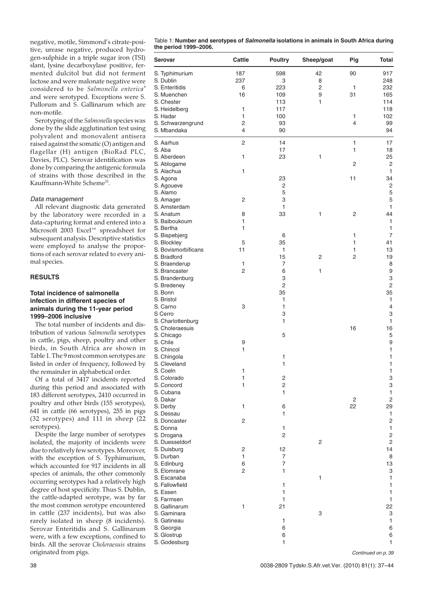negative, motile, Simmond's citrate-positive, urease negative, produced hydrogen-sulphide in a triple sugar iron (TSI) slant, lysine decarboxylase positive, fermented dulcitol but did not ferment lactose and were malonate negative were considered to be *Salmonella enterica*<sup>9</sup> and were serotyped. Exceptions were S. Pullorum and S. Gallinarum which are non-motile.

Serotyping of the *Salmonella* species was done by the slide agglutination test using polyvalent and monovalent antisera raised against the somatic (O) antigen and flagellar (H) antigen (BioRad PLC, Davies, PLC). Serovar identification was done by comparing the antigenic formula of strains with those described in the Kauffmann-White Scheme<sup>22</sup>.

## Data management

All relevant diagnostic data generated by the laboratory were recorded in a data-capturing format and entered into a Microsoft 2003 Excel™ spreadsheet for subsequent analysis. Descriptive statistics were employed to analyse the proportions of each serovar related to every animal species.

# **RESULTS**

# **Total incidence of salmonella infection in different species of animals during the 11-year period 1999–2006 inclusive**

The total number of incidents and distribution of various *Salmonella* serotypes in cattle, pigs, sheep, poultry and other birds, in South Africa are shown in Table 1. The 9 most common serotypes are listed in order of frequency, followed by the remainder in alphabetical order.

Of a total of 3417 incidents reported during this period and associated with 183 different serotypes, 2410 occurred in poultry and other birds (155 serotypes), 641 in cattle (66 serotypes), 255 in pigs (32 serotypes) and 111 in sheep (22 serotypes).

Despite the large number of serotypes isolated, the majority of incidents were due to relatively few serotypes. Moreover, with the exception of S. Typhimurium, which accounted for 917 incidents in all species of animals, the other commonly occurring serotypes had a relatively high degree of host specificity. Thus S. Dublin, the cattle-adapted serotype, was by far the most common serotype encountered in cattle (237 incidents), but was also rarely isolated in sheep (8 incidents). Serovar Enteritidis and S. Gallinarum were, with a few exceptions, confined to birds. All the serovar *Choleraesuis* strains originated from pigs.

| Table 1: Number and serotypes of <i>Salmonella</i> isolations in animals in South Africa during |  |  |
|-------------------------------------------------------------------------------------------------|--|--|
| the period 1999–2006.                                                                           |  |  |

| <b>Serovar</b>                   | Cattle         | <b>Poultry</b> | Sheep/goat | Pig          | <b>Total</b>                              |
|----------------------------------|----------------|----------------|------------|--------------|-------------------------------------------|
| S. Typhimurium                   | 187            | 598            | 42         | 90           | 917                                       |
| S. Dublin                        | 237            | 3              | 8          |              | 248                                       |
| S. Enteritidis                   | 6              | 223            | 2          | 1            | 232                                       |
| S. Muenchen                      | 16             | 109            | 9          | 31           | 165                                       |
| S. Chester                       |                | 113            | 1          |              | 114                                       |
| S. Heidelberg                    | 1              | 117            |            |              | 118                                       |
| S. Hadar                         | 1              | 100            |            | 1            | 102                                       |
| S. Schwarzengrund<br>S. Mbandaka | 2<br>4         | 93<br>90       |            | 4            | 99<br>94                                  |
|                                  |                |                |            |              |                                           |
| S. Aarhus                        | 2              | 14             |            | $\mathbf{1}$ | 17                                        |
| S. Aba                           |                | 17             |            | 1            | 18                                        |
| S. Aberdeen                      | 1              | 23             | 1          |              | 25                                        |
| S. Ablogame<br>S. Alachua        |                |                |            | 2            | 2<br>1                                    |
| S. Agona                         | 1              | 23             |            | 11           | 34                                        |
| S. Agoueve                       |                | $\overline{c}$ |            |              | $\overline{\mathbf{c}}$                   |
| S. Alamo                         |                | 5              |            |              | 5                                         |
| S. Amager                        | 2              | 3              |            |              | 5                                         |
| S. Amsterdam                     |                | 1              |            |              | $\mathbf{1}$                              |
| S. Anatum                        | 8              | 33             | 1          | 2            | 44                                        |
| S. Baiboukoum                    | 1              |                |            |              | 1                                         |
| S. Bertha                        | 1              |                |            |              | 1                                         |
| S. Bispebjerg<br>S. Blockley     | 5              | 6<br>35        |            | 1<br>1       | $\overline{7}$<br>41                      |
| S. Bovismorbificans              | 11             | 1              |            | 1            | 13                                        |
| S. Bradford                      |                | 15             | 2          | 2            | 19                                        |
| S. Braenderup                    | 1              | 7              |            |              | 8                                         |
| S. Brancaster                    | 2              | 6              | 1          |              | 9                                         |
| S. Brandenburg                   |                | 3              |            |              | 3                                         |
| S. Bredeney                      |                | $\overline{2}$ |            |              | $\mathbf 2$                               |
| S. Bonn                          |                | 35             |            |              | 35                                        |
| S. Bristol                       |                | 1              |            |              | $\mathbf{1}$                              |
| S. Carno<br>S Cerro              | 3              | 1<br>3         |            |              | $\overline{4}$<br>3                       |
| S. Charlottenburg                |                | 1              |            |              | $\mathbf{1}$                              |
| S. Choleraesuis                  |                |                |            | 16           | 16                                        |
| S. Chicago                       |                | 5              |            |              | 5                                         |
| S. Chile                         | 9              |                |            |              | 9                                         |
| S. Chincol                       | 1              |                |            |              | 1                                         |
| S. Chingola                      |                | 1              |            |              | 1                                         |
| S. Cleveland                     |                | 1              |            |              | $\mathbf{1}$                              |
| S. Coeln<br>S. Colorado          | 1<br>1         | 2              |            |              | 1                                         |
| S. Concord                       | 1              | 2              |            |              | 3<br>3                                    |
| S. Cubana                        |                | 1              |            |              | 1                                         |
| S. Dakar                         |                |                |            | 2            | $\overline{\mathbf{c}}$                   |
| S. Derby                         | $\mathbf{1}$   | 6              |            | 22           | 29                                        |
| S. Dessau                        |                | 1              |            |              | $\mathbf{1}$                              |
| S. Doncaster                     | 2              |                |            |              | 2                                         |
| S. Donna                         |                | 1              |            |              | $\mathbf{1}$                              |
| S. Drogana<br>S. Duesseldorf     |                | $\mathbf 2$    | 2          |              | $\overline{\mathbf{c}}$<br>$\overline{c}$ |
| S. Duisburg                      | 2              | 12             |            |              | 14                                        |
| S. Durban                        | 1              | 7              |            |              | 8                                         |
| S. Edinburg                      | 6              | 7              |            |              | 13                                        |
| S. Elomrane                      | $\mathsf{2}\,$ | 1              |            |              | 3                                         |
| S. Escanaba                      |                |                | 1          |              | 1                                         |
| S. Fallowfield                   |                | 1              |            |              | 1                                         |
| S. Essen                         |                | 1              |            |              | 1                                         |
| S. Farmsen<br>S. Gallinarum      | 1              | 1<br>21        |            |              | 1<br>22                                   |
| S. Gaminara                      |                |                | 3          |              | 3                                         |
| S. Gatineau                      |                | 1              |            |              | 1                                         |
| S. Georgia                       |                | 6              |            |              | 6                                         |
| S. Glostrup                      |                | 6              |            |              | 6                                         |
| S. Godesburg                     |                | 1              |            |              | 1                                         |

Continued on p. 39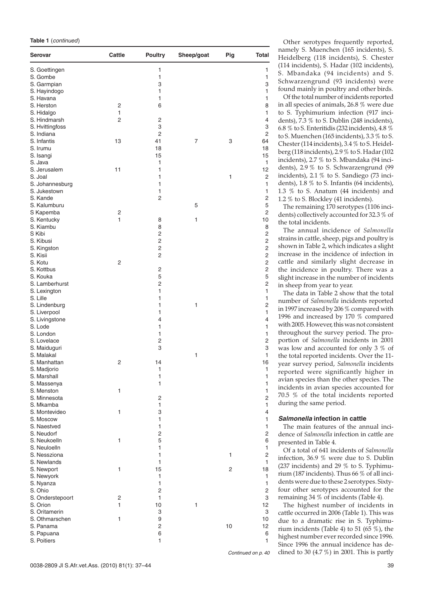|  | Table 1 (continued) |
|--|---------------------|
|--|---------------------|

| S. Goettingen<br>1<br>1<br>1<br>S. Gombe<br>1<br>S. Garmpian<br>3<br>3<br>S. Hayindogo<br>1<br>1<br>S. Havana<br>1<br>1<br>S. Herston<br>$\overline{\mathbf{c}}$<br>6<br>8<br>1<br>1<br>S. Hidalgo<br>2<br>$\mathbf 2$<br>S. Hindmarsh<br>4<br>3<br>3<br>S. Hvittingfoss<br>2<br>$\overline{c}$<br>S. Indiana<br>3<br>S. Infantis<br>13<br>41<br>7<br>64<br>S. Irumu<br>18<br>18<br>S. Isangi<br>15<br>15<br>S. Java<br>1<br>1<br>S. Jerusalem<br>11<br>1<br>12<br>$\overline{c}$<br>S. Joal<br>1<br>1<br>S. Johannesburg<br>1<br>1<br>1<br>S. Jukestown<br>1<br>$\overline{c}$<br>$\mathsf{2}\,$<br>S. Kande<br>5<br>S. Kalumburu<br>5<br>$\mathbf 2$<br>S Kapemba<br>2<br>1<br>1<br>10<br>S. Kentucky<br>8<br>S. Kiambu<br>8<br>8<br>2<br>$\mathsf{2}\,$<br>S Kibi<br>2<br>$\mathsf{2}\,$<br>S. Kibusi<br>2<br>$\mathsf{2}\,$<br>S. Kingston<br>$\mathbf 2$<br>$\overline{c}$<br>S. Kisii<br>$\overline{c}$<br>S. Kotu<br>2<br>$\overline{2}$<br>$\mathsf{2}\,$<br>S. Kottbus<br>5<br>5<br>S. Kouka<br>$\overline{c}$<br>2<br>S. Lamberhurst<br>1<br>S. Lexington<br>1<br>S. Lille<br>1<br>1<br>1<br>1<br>2<br>S. Lindenburg<br>S. Liverpool<br>1<br>1<br>4<br>4<br>S. Livingstone<br>1<br>S. Lode<br>1<br>S. London<br>1<br>1<br>2<br>S. Lovelace<br>2<br>3<br>3<br>S. Maiduguri<br>S. Malakal<br>1<br>1<br>2<br>16<br>S. Manhattan<br>14<br>S. Madjorio<br>1<br>1<br>1<br>1<br>S. Marshall<br>1<br>1<br>S. Massenya<br>1<br>$\mathbf{1}$<br>S. Menston<br>$\mathbf 2$<br>$\mathsf{2}\,$<br>S. Minnesota<br>1<br>$\mathbf{1}$<br>S. Mkamba<br>1<br>3<br>$\overline{4}$<br>S. Montevideo<br>1<br>1<br>S. Moscow<br>1<br>1<br>S. Naestved<br>2<br>$\mathsf{2}\,$<br>S. Neudorf<br>5<br>6<br>S. Neukoelln<br>1<br>$\mathbf{1}$<br>S. Neuloelln<br>1<br>1<br>$\mathbf 2$<br>S. Nessziona<br>1<br>S. Newlands<br>1<br>1<br>15<br>2<br>1<br>18<br>S. Newport<br>1<br>S. Newyork<br>1<br>1<br>1<br>S. Nyanza<br>2<br>S. Ohio<br>2<br>1<br>3<br>S. Onderstepoort<br>$\overline{c}$<br>1<br>10<br>1<br>12<br>S. Orion<br>3<br>S. Oritamerin<br>3<br>9<br>1<br>10<br>S. Othmarschen<br>S. Panama<br>2<br>10<br>12<br>6<br>6<br>S. Papuana<br>1<br>$\mathbf{1}$<br>S. Poitiers | Serovar | Cattle | <b>Poultry</b> | Sheep/goat | Pig | Total |
|------------------------------------------------------------------------------------------------------------------------------------------------------------------------------------------------------------------------------------------------------------------------------------------------------------------------------------------------------------------------------------------------------------------------------------------------------------------------------------------------------------------------------------------------------------------------------------------------------------------------------------------------------------------------------------------------------------------------------------------------------------------------------------------------------------------------------------------------------------------------------------------------------------------------------------------------------------------------------------------------------------------------------------------------------------------------------------------------------------------------------------------------------------------------------------------------------------------------------------------------------------------------------------------------------------------------------------------------------------------------------------------------------------------------------------------------------------------------------------------------------------------------------------------------------------------------------------------------------------------------------------------------------------------------------------------------------------------------------------------------------------------------------------------------------------------------------------------------------------------------------------------------------------------------------------------------------------------------------------------------------------------------------------------------------------------------------------------------------------------------------------------------------------------------|---------|--------|----------------|------------|-----|-------|
|                                                                                                                                                                                                                                                                                                                                                                                                                                                                                                                                                                                                                                                                                                                                                                                                                                                                                                                                                                                                                                                                                                                                                                                                                                                                                                                                                                                                                                                                                                                                                                                                                                                                                                                                                                                                                                                                                                                                                                                                                                                                                                                                                                        |         |        |                |            |     |       |
|                                                                                                                                                                                                                                                                                                                                                                                                                                                                                                                                                                                                                                                                                                                                                                                                                                                                                                                                                                                                                                                                                                                                                                                                                                                                                                                                                                                                                                                                                                                                                                                                                                                                                                                                                                                                                                                                                                                                                                                                                                                                                                                                                                        |         |        |                |            |     |       |
|                                                                                                                                                                                                                                                                                                                                                                                                                                                                                                                                                                                                                                                                                                                                                                                                                                                                                                                                                                                                                                                                                                                                                                                                                                                                                                                                                                                                                                                                                                                                                                                                                                                                                                                                                                                                                                                                                                                                                                                                                                                                                                                                                                        |         |        |                |            |     |       |
|                                                                                                                                                                                                                                                                                                                                                                                                                                                                                                                                                                                                                                                                                                                                                                                                                                                                                                                                                                                                                                                                                                                                                                                                                                                                                                                                                                                                                                                                                                                                                                                                                                                                                                                                                                                                                                                                                                                                                                                                                                                                                                                                                                        |         |        |                |            |     |       |
|                                                                                                                                                                                                                                                                                                                                                                                                                                                                                                                                                                                                                                                                                                                                                                                                                                                                                                                                                                                                                                                                                                                                                                                                                                                                                                                                                                                                                                                                                                                                                                                                                                                                                                                                                                                                                                                                                                                                                                                                                                                                                                                                                                        |         |        |                |            |     |       |
|                                                                                                                                                                                                                                                                                                                                                                                                                                                                                                                                                                                                                                                                                                                                                                                                                                                                                                                                                                                                                                                                                                                                                                                                                                                                                                                                                                                                                                                                                                                                                                                                                                                                                                                                                                                                                                                                                                                                                                                                                                                                                                                                                                        |         |        |                |            |     |       |
|                                                                                                                                                                                                                                                                                                                                                                                                                                                                                                                                                                                                                                                                                                                                                                                                                                                                                                                                                                                                                                                                                                                                                                                                                                                                                                                                                                                                                                                                                                                                                                                                                                                                                                                                                                                                                                                                                                                                                                                                                                                                                                                                                                        |         |        |                |            |     |       |
|                                                                                                                                                                                                                                                                                                                                                                                                                                                                                                                                                                                                                                                                                                                                                                                                                                                                                                                                                                                                                                                                                                                                                                                                                                                                                                                                                                                                                                                                                                                                                                                                                                                                                                                                                                                                                                                                                                                                                                                                                                                                                                                                                                        |         |        |                |            |     |       |
|                                                                                                                                                                                                                                                                                                                                                                                                                                                                                                                                                                                                                                                                                                                                                                                                                                                                                                                                                                                                                                                                                                                                                                                                                                                                                                                                                                                                                                                                                                                                                                                                                                                                                                                                                                                                                                                                                                                                                                                                                                                                                                                                                                        |         |        |                |            |     |       |
|                                                                                                                                                                                                                                                                                                                                                                                                                                                                                                                                                                                                                                                                                                                                                                                                                                                                                                                                                                                                                                                                                                                                                                                                                                                                                                                                                                                                                                                                                                                                                                                                                                                                                                                                                                                                                                                                                                                                                                                                                                                                                                                                                                        |         |        |                |            |     |       |
|                                                                                                                                                                                                                                                                                                                                                                                                                                                                                                                                                                                                                                                                                                                                                                                                                                                                                                                                                                                                                                                                                                                                                                                                                                                                                                                                                                                                                                                                                                                                                                                                                                                                                                                                                                                                                                                                                                                                                                                                                                                                                                                                                                        |         |        |                |            |     |       |
|                                                                                                                                                                                                                                                                                                                                                                                                                                                                                                                                                                                                                                                                                                                                                                                                                                                                                                                                                                                                                                                                                                                                                                                                                                                                                                                                                                                                                                                                                                                                                                                                                                                                                                                                                                                                                                                                                                                                                                                                                                                                                                                                                                        |         |        |                |            |     |       |
|                                                                                                                                                                                                                                                                                                                                                                                                                                                                                                                                                                                                                                                                                                                                                                                                                                                                                                                                                                                                                                                                                                                                                                                                                                                                                                                                                                                                                                                                                                                                                                                                                                                                                                                                                                                                                                                                                                                                                                                                                                                                                                                                                                        |         |        |                |            |     |       |
|                                                                                                                                                                                                                                                                                                                                                                                                                                                                                                                                                                                                                                                                                                                                                                                                                                                                                                                                                                                                                                                                                                                                                                                                                                                                                                                                                                                                                                                                                                                                                                                                                                                                                                                                                                                                                                                                                                                                                                                                                                                                                                                                                                        |         |        |                |            |     |       |
|                                                                                                                                                                                                                                                                                                                                                                                                                                                                                                                                                                                                                                                                                                                                                                                                                                                                                                                                                                                                                                                                                                                                                                                                                                                                                                                                                                                                                                                                                                                                                                                                                                                                                                                                                                                                                                                                                                                                                                                                                                                                                                                                                                        |         |        |                |            |     |       |
|                                                                                                                                                                                                                                                                                                                                                                                                                                                                                                                                                                                                                                                                                                                                                                                                                                                                                                                                                                                                                                                                                                                                                                                                                                                                                                                                                                                                                                                                                                                                                                                                                                                                                                                                                                                                                                                                                                                                                                                                                                                                                                                                                                        |         |        |                |            |     |       |
|                                                                                                                                                                                                                                                                                                                                                                                                                                                                                                                                                                                                                                                                                                                                                                                                                                                                                                                                                                                                                                                                                                                                                                                                                                                                                                                                                                                                                                                                                                                                                                                                                                                                                                                                                                                                                                                                                                                                                                                                                                                                                                                                                                        |         |        |                |            |     |       |
|                                                                                                                                                                                                                                                                                                                                                                                                                                                                                                                                                                                                                                                                                                                                                                                                                                                                                                                                                                                                                                                                                                                                                                                                                                                                                                                                                                                                                                                                                                                                                                                                                                                                                                                                                                                                                                                                                                                                                                                                                                                                                                                                                                        |         |        |                |            |     |       |
|                                                                                                                                                                                                                                                                                                                                                                                                                                                                                                                                                                                                                                                                                                                                                                                                                                                                                                                                                                                                                                                                                                                                                                                                                                                                                                                                                                                                                                                                                                                                                                                                                                                                                                                                                                                                                                                                                                                                                                                                                                                                                                                                                                        |         |        |                |            |     |       |
|                                                                                                                                                                                                                                                                                                                                                                                                                                                                                                                                                                                                                                                                                                                                                                                                                                                                                                                                                                                                                                                                                                                                                                                                                                                                                                                                                                                                                                                                                                                                                                                                                                                                                                                                                                                                                                                                                                                                                                                                                                                                                                                                                                        |         |        |                |            |     |       |
|                                                                                                                                                                                                                                                                                                                                                                                                                                                                                                                                                                                                                                                                                                                                                                                                                                                                                                                                                                                                                                                                                                                                                                                                                                                                                                                                                                                                                                                                                                                                                                                                                                                                                                                                                                                                                                                                                                                                                                                                                                                                                                                                                                        |         |        |                |            |     |       |
|                                                                                                                                                                                                                                                                                                                                                                                                                                                                                                                                                                                                                                                                                                                                                                                                                                                                                                                                                                                                                                                                                                                                                                                                                                                                                                                                                                                                                                                                                                                                                                                                                                                                                                                                                                                                                                                                                                                                                                                                                                                                                                                                                                        |         |        |                |            |     |       |
|                                                                                                                                                                                                                                                                                                                                                                                                                                                                                                                                                                                                                                                                                                                                                                                                                                                                                                                                                                                                                                                                                                                                                                                                                                                                                                                                                                                                                                                                                                                                                                                                                                                                                                                                                                                                                                                                                                                                                                                                                                                                                                                                                                        |         |        |                |            |     |       |
|                                                                                                                                                                                                                                                                                                                                                                                                                                                                                                                                                                                                                                                                                                                                                                                                                                                                                                                                                                                                                                                                                                                                                                                                                                                                                                                                                                                                                                                                                                                                                                                                                                                                                                                                                                                                                                                                                                                                                                                                                                                                                                                                                                        |         |        |                |            |     |       |
|                                                                                                                                                                                                                                                                                                                                                                                                                                                                                                                                                                                                                                                                                                                                                                                                                                                                                                                                                                                                                                                                                                                                                                                                                                                                                                                                                                                                                                                                                                                                                                                                                                                                                                                                                                                                                                                                                                                                                                                                                                                                                                                                                                        |         |        |                |            |     |       |
|                                                                                                                                                                                                                                                                                                                                                                                                                                                                                                                                                                                                                                                                                                                                                                                                                                                                                                                                                                                                                                                                                                                                                                                                                                                                                                                                                                                                                                                                                                                                                                                                                                                                                                                                                                                                                                                                                                                                                                                                                                                                                                                                                                        |         |        |                |            |     |       |
|                                                                                                                                                                                                                                                                                                                                                                                                                                                                                                                                                                                                                                                                                                                                                                                                                                                                                                                                                                                                                                                                                                                                                                                                                                                                                                                                                                                                                                                                                                                                                                                                                                                                                                                                                                                                                                                                                                                                                                                                                                                                                                                                                                        |         |        |                |            |     |       |
|                                                                                                                                                                                                                                                                                                                                                                                                                                                                                                                                                                                                                                                                                                                                                                                                                                                                                                                                                                                                                                                                                                                                                                                                                                                                                                                                                                                                                                                                                                                                                                                                                                                                                                                                                                                                                                                                                                                                                                                                                                                                                                                                                                        |         |        |                |            |     |       |
|                                                                                                                                                                                                                                                                                                                                                                                                                                                                                                                                                                                                                                                                                                                                                                                                                                                                                                                                                                                                                                                                                                                                                                                                                                                                                                                                                                                                                                                                                                                                                                                                                                                                                                                                                                                                                                                                                                                                                                                                                                                                                                                                                                        |         |        |                |            |     |       |
|                                                                                                                                                                                                                                                                                                                                                                                                                                                                                                                                                                                                                                                                                                                                                                                                                                                                                                                                                                                                                                                                                                                                                                                                                                                                                                                                                                                                                                                                                                                                                                                                                                                                                                                                                                                                                                                                                                                                                                                                                                                                                                                                                                        |         |        |                |            |     |       |
|                                                                                                                                                                                                                                                                                                                                                                                                                                                                                                                                                                                                                                                                                                                                                                                                                                                                                                                                                                                                                                                                                                                                                                                                                                                                                                                                                                                                                                                                                                                                                                                                                                                                                                                                                                                                                                                                                                                                                                                                                                                                                                                                                                        |         |        |                |            |     |       |
|                                                                                                                                                                                                                                                                                                                                                                                                                                                                                                                                                                                                                                                                                                                                                                                                                                                                                                                                                                                                                                                                                                                                                                                                                                                                                                                                                                                                                                                                                                                                                                                                                                                                                                                                                                                                                                                                                                                                                                                                                                                                                                                                                                        |         |        |                |            |     |       |
|                                                                                                                                                                                                                                                                                                                                                                                                                                                                                                                                                                                                                                                                                                                                                                                                                                                                                                                                                                                                                                                                                                                                                                                                                                                                                                                                                                                                                                                                                                                                                                                                                                                                                                                                                                                                                                                                                                                                                                                                                                                                                                                                                                        |         |        |                |            |     |       |
|                                                                                                                                                                                                                                                                                                                                                                                                                                                                                                                                                                                                                                                                                                                                                                                                                                                                                                                                                                                                                                                                                                                                                                                                                                                                                                                                                                                                                                                                                                                                                                                                                                                                                                                                                                                                                                                                                                                                                                                                                                                                                                                                                                        |         |        |                |            |     |       |
|                                                                                                                                                                                                                                                                                                                                                                                                                                                                                                                                                                                                                                                                                                                                                                                                                                                                                                                                                                                                                                                                                                                                                                                                                                                                                                                                                                                                                                                                                                                                                                                                                                                                                                                                                                                                                                                                                                                                                                                                                                                                                                                                                                        |         |        |                |            |     |       |
|                                                                                                                                                                                                                                                                                                                                                                                                                                                                                                                                                                                                                                                                                                                                                                                                                                                                                                                                                                                                                                                                                                                                                                                                                                                                                                                                                                                                                                                                                                                                                                                                                                                                                                                                                                                                                                                                                                                                                                                                                                                                                                                                                                        |         |        |                |            |     |       |
|                                                                                                                                                                                                                                                                                                                                                                                                                                                                                                                                                                                                                                                                                                                                                                                                                                                                                                                                                                                                                                                                                                                                                                                                                                                                                                                                                                                                                                                                                                                                                                                                                                                                                                                                                                                                                                                                                                                                                                                                                                                                                                                                                                        |         |        |                |            |     |       |
|                                                                                                                                                                                                                                                                                                                                                                                                                                                                                                                                                                                                                                                                                                                                                                                                                                                                                                                                                                                                                                                                                                                                                                                                                                                                                                                                                                                                                                                                                                                                                                                                                                                                                                                                                                                                                                                                                                                                                                                                                                                                                                                                                                        |         |        |                |            |     |       |
|                                                                                                                                                                                                                                                                                                                                                                                                                                                                                                                                                                                                                                                                                                                                                                                                                                                                                                                                                                                                                                                                                                                                                                                                                                                                                                                                                                                                                                                                                                                                                                                                                                                                                                                                                                                                                                                                                                                                                                                                                                                                                                                                                                        |         |        |                |            |     |       |
|                                                                                                                                                                                                                                                                                                                                                                                                                                                                                                                                                                                                                                                                                                                                                                                                                                                                                                                                                                                                                                                                                                                                                                                                                                                                                                                                                                                                                                                                                                                                                                                                                                                                                                                                                                                                                                                                                                                                                                                                                                                                                                                                                                        |         |        |                |            |     |       |
|                                                                                                                                                                                                                                                                                                                                                                                                                                                                                                                                                                                                                                                                                                                                                                                                                                                                                                                                                                                                                                                                                                                                                                                                                                                                                                                                                                                                                                                                                                                                                                                                                                                                                                                                                                                                                                                                                                                                                                                                                                                                                                                                                                        |         |        |                |            |     |       |
|                                                                                                                                                                                                                                                                                                                                                                                                                                                                                                                                                                                                                                                                                                                                                                                                                                                                                                                                                                                                                                                                                                                                                                                                                                                                                                                                                                                                                                                                                                                                                                                                                                                                                                                                                                                                                                                                                                                                                                                                                                                                                                                                                                        |         |        |                |            |     |       |
|                                                                                                                                                                                                                                                                                                                                                                                                                                                                                                                                                                                                                                                                                                                                                                                                                                                                                                                                                                                                                                                                                                                                                                                                                                                                                                                                                                                                                                                                                                                                                                                                                                                                                                                                                                                                                                                                                                                                                                                                                                                                                                                                                                        |         |        |                |            |     |       |
|                                                                                                                                                                                                                                                                                                                                                                                                                                                                                                                                                                                                                                                                                                                                                                                                                                                                                                                                                                                                                                                                                                                                                                                                                                                                                                                                                                                                                                                                                                                                                                                                                                                                                                                                                                                                                                                                                                                                                                                                                                                                                                                                                                        |         |        |                |            |     |       |
|                                                                                                                                                                                                                                                                                                                                                                                                                                                                                                                                                                                                                                                                                                                                                                                                                                                                                                                                                                                                                                                                                                                                                                                                                                                                                                                                                                                                                                                                                                                                                                                                                                                                                                                                                                                                                                                                                                                                                                                                                                                                                                                                                                        |         |        |                |            |     |       |
|                                                                                                                                                                                                                                                                                                                                                                                                                                                                                                                                                                                                                                                                                                                                                                                                                                                                                                                                                                                                                                                                                                                                                                                                                                                                                                                                                                                                                                                                                                                                                                                                                                                                                                                                                                                                                                                                                                                                                                                                                                                                                                                                                                        |         |        |                |            |     |       |
|                                                                                                                                                                                                                                                                                                                                                                                                                                                                                                                                                                                                                                                                                                                                                                                                                                                                                                                                                                                                                                                                                                                                                                                                                                                                                                                                                                                                                                                                                                                                                                                                                                                                                                                                                                                                                                                                                                                                                                                                                                                                                                                                                                        |         |        |                |            |     |       |
|                                                                                                                                                                                                                                                                                                                                                                                                                                                                                                                                                                                                                                                                                                                                                                                                                                                                                                                                                                                                                                                                                                                                                                                                                                                                                                                                                                                                                                                                                                                                                                                                                                                                                                                                                                                                                                                                                                                                                                                                                                                                                                                                                                        |         |        |                |            |     |       |
|                                                                                                                                                                                                                                                                                                                                                                                                                                                                                                                                                                                                                                                                                                                                                                                                                                                                                                                                                                                                                                                                                                                                                                                                                                                                                                                                                                                                                                                                                                                                                                                                                                                                                                                                                                                                                                                                                                                                                                                                                                                                                                                                                                        |         |        |                |            |     |       |
|                                                                                                                                                                                                                                                                                                                                                                                                                                                                                                                                                                                                                                                                                                                                                                                                                                                                                                                                                                                                                                                                                                                                                                                                                                                                                                                                                                                                                                                                                                                                                                                                                                                                                                                                                                                                                                                                                                                                                                                                                                                                                                                                                                        |         |        |                |            |     |       |
|                                                                                                                                                                                                                                                                                                                                                                                                                                                                                                                                                                                                                                                                                                                                                                                                                                                                                                                                                                                                                                                                                                                                                                                                                                                                                                                                                                                                                                                                                                                                                                                                                                                                                                                                                                                                                                                                                                                                                                                                                                                                                                                                                                        |         |        |                |            |     |       |
|                                                                                                                                                                                                                                                                                                                                                                                                                                                                                                                                                                                                                                                                                                                                                                                                                                                                                                                                                                                                                                                                                                                                                                                                                                                                                                                                                                                                                                                                                                                                                                                                                                                                                                                                                                                                                                                                                                                                                                                                                                                                                                                                                                        |         |        |                |            |     |       |
|                                                                                                                                                                                                                                                                                                                                                                                                                                                                                                                                                                                                                                                                                                                                                                                                                                                                                                                                                                                                                                                                                                                                                                                                                                                                                                                                                                                                                                                                                                                                                                                                                                                                                                                                                                                                                                                                                                                                                                                                                                                                                                                                                                        |         |        |                |            |     |       |
|                                                                                                                                                                                                                                                                                                                                                                                                                                                                                                                                                                                                                                                                                                                                                                                                                                                                                                                                                                                                                                                                                                                                                                                                                                                                                                                                                                                                                                                                                                                                                                                                                                                                                                                                                                                                                                                                                                                                                                                                                                                                                                                                                                        |         |        |                |            |     |       |
|                                                                                                                                                                                                                                                                                                                                                                                                                                                                                                                                                                                                                                                                                                                                                                                                                                                                                                                                                                                                                                                                                                                                                                                                                                                                                                                                                                                                                                                                                                                                                                                                                                                                                                                                                                                                                                                                                                                                                                                                                                                                                                                                                                        |         |        |                |            |     |       |
|                                                                                                                                                                                                                                                                                                                                                                                                                                                                                                                                                                                                                                                                                                                                                                                                                                                                                                                                                                                                                                                                                                                                                                                                                                                                                                                                                                                                                                                                                                                                                                                                                                                                                                                                                                                                                                                                                                                                                                                                                                                                                                                                                                        |         |        |                |            |     |       |
|                                                                                                                                                                                                                                                                                                                                                                                                                                                                                                                                                                                                                                                                                                                                                                                                                                                                                                                                                                                                                                                                                                                                                                                                                                                                                                                                                                                                                                                                                                                                                                                                                                                                                                                                                                                                                                                                                                                                                                                                                                                                                                                                                                        |         |        |                |            |     |       |
|                                                                                                                                                                                                                                                                                                                                                                                                                                                                                                                                                                                                                                                                                                                                                                                                                                                                                                                                                                                                                                                                                                                                                                                                                                                                                                                                                                                                                                                                                                                                                                                                                                                                                                                                                                                                                                                                                                                                                                                                                                                                                                                                                                        |         |        |                |            |     |       |
|                                                                                                                                                                                                                                                                                                                                                                                                                                                                                                                                                                                                                                                                                                                                                                                                                                                                                                                                                                                                                                                                                                                                                                                                                                                                                                                                                                                                                                                                                                                                                                                                                                                                                                                                                                                                                                                                                                                                                                                                                                                                                                                                                                        |         |        |                |            |     |       |

Other serotypes frequently reported, namely S. Muenchen (165 incidents), S. Heidelberg (118 incidents), S. Chester (114 incidents), S. Hadar (102 incidents), S. Mbandaka (94 incidents) and S. Schwarzengrund (93 incidents) were found mainly in poultry and other birds.

Of the total number of incidents reported in all species of animals, 26.8 % were due to S. Typhimurium infection (917 incidents), 7.3 % to S. Dublin (248 incidents), 6.8 % to S. Enteritidis (232 incidents), 4.8 % to S. Muenchen (165 incidents), 3.3 % to S. Chester (114 incidents), 3.4 % to S. Heidelberg (118 incidents), 2.9 % to S. Hadar (102 incidents), 2.7 % to S. Mbandaka (94 incidents), 2.9 % to S. Schwarzengrund (99 incidents), 2.1 % to S. Sandiego (73 incidents), 1.8 % to S. Infantis (64 incidents), 1.3 % to S. Anatum (44 incidents) and 1.2 % to S. Blockley (41 incidents).

The remaining 170 serotypes (1106 incidents) collectively accounted for 32.3 % of the total incidents.

The annual incidence of *Salmonella* strains in cattle, sheep, pigs and poultry is shown in Table 2, which indicates a slight increase in the incidence of infection in cattle and similarly slight decrease in the incidence in poultry. There was a slight increase in the number of incidents in sheep from year to year.

The data in Table 2 show that the total number of *Salmonella* incidents reported in 1997 increased by 206 % compared with 1996 and increased by 170 % compared with 2005. However, this was not consistent throughout the survey period. The proportion of *Salmonella* incidents in 2001 was low and accounted for only 3 % of the total reported incidents. Over the 11 year survey period, *Salmonella* incidents reported were significantly higher in avian species than the other species. The incidents in avian species accounted for 70.5 % of the total incidents reported during the same period.

#### **Salmonella infection in cattle**

The main features of the annual incidence of *Salmonella* infection in cattle are presented in Table 4.

Of a total of 641 incidents of *Salmonella* infection, 36.9 % were due to S. Dublin (237 incidents) and 29 % to S. Typhimurium (187 incidents). Thus 66 % of all incidents were due to these 2 serotypes. Sixtyfour other serotypes accounted for the remaining 34 % of incidents (Table 4).

The highest number of incidents in cattle occurred in 2006 (Table 1). This was due to a dramatic rise in S. Typhimurium incidents (Table 4) to 51 (65 %), the highest number ever recorded since 1996. Since 1996 the annual incidence has declined to 30  $(4.7\%)$  in 2001. This is partly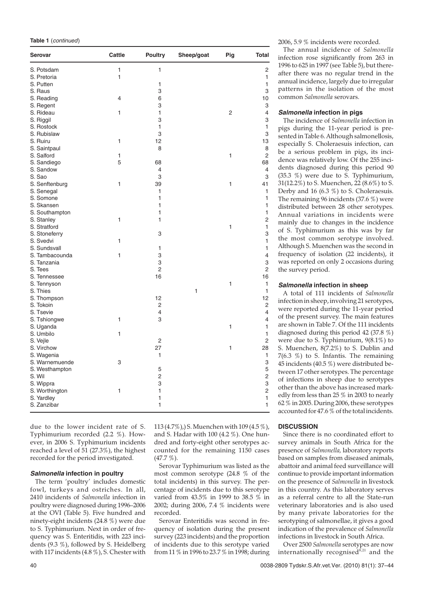|  | Table 1 (continued) |
|--|---------------------|
|--|---------------------|

| <b>Serovar</b>               | Cattle       | <b>Poultry</b> | Sheep/goat | Pig            | <b>Total</b>   |
|------------------------------|--------------|----------------|------------|----------------|----------------|
| S. Potsdam                   | $\mathbf{1}$ | 1              |            |                | 2              |
| S. Pretoria                  | $\mathbf{1}$ |                |            |                | 1              |
| S. Putten                    |              | 1              |            |                | 1              |
| S. Raus                      |              | 3              |            |                | 3              |
| S. Reading                   | 4            | 6              |            |                | 10             |
| S. Regent                    |              | 3              |            |                | 3              |
| S. Rideau                    | 1            | 1              |            | $\overline{c}$ | 4              |
| S. Riggil                    |              | 3              |            |                | 3              |
| S. Rostock                   |              | $\mathbf{1}$   |            |                | 1              |
| S. Rubislaw                  |              | 3              |            |                | 3              |
| S. Ruiru                     | $\mathbf{1}$ | 12             |            |                | 13             |
| S. Saintpaul                 |              | 8              |            |                | 8              |
| S. Salford                   | 1            |                |            | 1              | $\overline{2}$ |
| S. Sandiego                  | 5            | 68             |            |                | 68             |
| S. Sandow                    |              | $\overline{4}$ |            |                | 4              |
| S. Sao                       |              | 3              |            |                | 3              |
| S. Senftenburg               | 1            | 39             |            | 1              | 41             |
| S. Senegal                   |              | 1              |            |                | 1              |
| S. Somone                    |              | 1              |            |                | 1              |
| S. Skansen                   |              | 1              |            |                | 1              |
| S. Southampton               |              | 1              |            |                | 1              |
| S. Stanley                   | 1            | 1              |            |                | 2              |
| S. Stratford                 |              |                |            | 1              | 1              |
| S. Stoneferry                |              | 3              |            |                | 3              |
| S. Svedvi                    | 1            |                |            |                | 1              |
| S. Sundsvall                 |              | 1              |            |                | 1              |
| S. Tambacounda               | $\mathbf{1}$ | 3              |            |                | 4              |
| S. Tanzania                  |              | 3              |            |                | 3              |
| S. Tees                      |              | $\overline{2}$ |            |                | $\overline{c}$ |
| S. Tennessee                 |              | 16             |            |                | 16             |
| S. Tennyson                  |              |                |            | 1              | 1              |
| S. Thies                     |              |                | 1          |                | 1              |
| S. Thompson                  |              | 12             |            |                | 12             |
| S. Tokoin                    |              | 2              |            |                | $\overline{2}$ |
| S. Tsevie                    |              | $\overline{4}$ |            |                | 4              |
| S. Tshiongwe                 | $\mathbf{1}$ | 3              |            |                | 4              |
| S. Uganda                    |              |                |            | 1              | 1              |
| S. Umbilo                    | 1            |                |            |                | 1              |
| S. Vejle                     |              | 2              |            |                | $\overline{c}$ |
| S. Virchow                   |              | 27             |            | 1              | 28             |
|                              |              | 1              |            |                | 1              |
| S. Wagenia<br>S. Warnemuende | 3            |                |            |                | 3              |
|                              |              | 5              |            |                | 5              |
| S. Westhampton               |              |                |            |                |                |
| S. Wil                       |              | 2              |            |                | 2<br>3         |
| S. Wippra                    |              | 3              |            |                |                |
| S. Worthington               | 1            | 1              |            |                | 2              |
| S. Yardley                   |              | 1              |            |                | 1              |
| S. Zanzibar                  |              | 1              |            |                | 1              |

due to the lower incident rate of S. Typhimurium recorded (2.2 %). However, in 2006 S. Typhimurium incidents reached a level of 51 (27.3%), the highest recorded for the period investigated.

#### **Salmonella infection in poultry**

The term 'poultry' includes domestic fowl, turkeys and ostriches. In all, 2410 incidents of *Salmonella* infection in poultry were diagnosed during 1996–2006 at the OVI (Table 5). Five hundred and ninety-eight incidents (24.8 %) were due to S. Typhimurium. Next in order of frequency was S. Enteritidis, with 223 incidents (9.3 %), followed by S. Heidelberg with 117 incidents (4.8 %), S. Chester with

113 (4.7%),) S. Muenchen with 109 (4.5 %), and S. Hadar with 100 (4.2 %). One hundred and forty-eight other serotypes accounted for the remaining 1150 cases  $(47.7\%).$ 

Serovar Typhimurium was listed as the most common serotype (24.8 % of the total incidents) in this survey. The percentage of incidents due to this serotype varied from 43.5% in 1999 to 38.5 % in 2002; during 2006, 7.4 % incidents were recorded.

Serovar Enteritidis was second in frequency of isolation during the present survey (223 incidents) and the proportion of incidents due to this serotype varied from 11 % in 1996 to 23.7 % in 1998; during 2006, 5.9 % incidents were recorded.

The annual incidence of *Salmonella* infection rose significantly from 263 in 1996 to 625 in 1997 (see Table 5), but thereafter there was no regular trend in the annual incidence, largely due to irregular patterns in the isolation of the most common *Salmonella* serovars.

## **Salmonella infection in pigs**

The incidence of *Salmonella* infection in pigs during the 11-year period is presented in Table 6. Although salmonellosis, especially S. Choleraesuis infection, can be a serious problem in pigs, its incidence was relatively low. Of the 255 incidents diagnosed during this period 90 (35.3 %) were due to S. Typhimurium, 31(12.2%) to S. Muenchen, 22 (8.6%) to S. Derby and 16 (6.3 %) to S. Choleraesuis. The remaining 96 incidents (37.6 %) were distributed between 28 other serotypes. Annual variations in incidents were mainly due to changes in the incidence of S. Typhimurium as this was by far the most common serotype involved. Although S. Muenchen was the second in frequency of isolation (22 incidents), it was reported on only 2 occasions during the survey period.

## **Salmonella infection in sheep**

A total of 111 incidents of *Salmonella* infection in sheep, involving 21 serotypes, were reported during the 11-year period of the present survey. The main features are shown in Table 7. Of the 111 incidents diagnosed during this period 42 (37.8 %) were due to S. Typhimurium, 9(8.1%) to S. Muenchen, 8(7.2%) to S. Dublin and 7(6.3 %) to S. Infantis. The remaining 45 incidents (40.5 %) were distributed between 17 other serotypes. The percentage of infections in sheep due to serotypes other than the above has increased markedly from less than 25 % in 2003 to nearly 62 % in 2005. During 2006, these serotypes accounted for 47.6  $\%$  of the total incidents.

## **DISCUSSION**

Since there is no coordinated effort to survey animals in South Africa for the presence of *Salmonella,* laboratory reports based on samples from diseased animals, abattoir and animal feed surveillance will continue to provide important information on the presence of *Salmonella* in livestock in this country. As this laboratory serves as a referral centre to all the State-run veterinary laboratories and is also used by many private laboratories for the serotyping of salmonellae, it gives a good indication of the prevalence of *Salmonella* infections in livestock in South Africa.

Over 2500 *Salmonella* serotypes are now internationally recognised<sup>8,21</sup> and the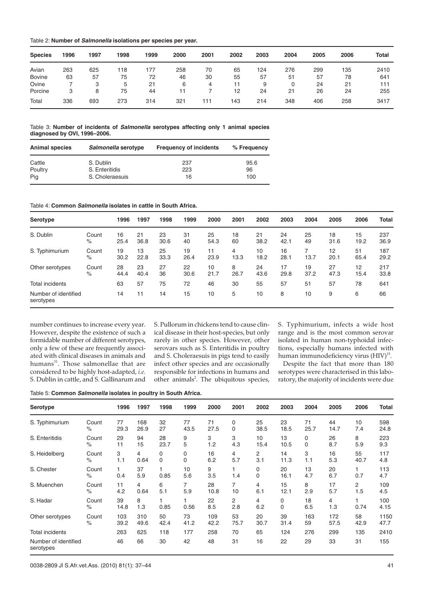| Table 2: Number of Salmonella isolations per species per year. |
|----------------------------------------------------------------|
|----------------------------------------------------------------|

| <b>Species</b> | 1996 | 1997 | 1998 | 1999 | 2000 | 2001 | 2002 | 2003 | 2004 | 2005 | 2006 | <b>Total</b> |
|----------------|------|------|------|------|------|------|------|------|------|------|------|--------------|
| Avian          | 263  | 625  | 118  | 177  | 258  | 70   | 65   | 124  | 276  | 299  | 135  | 2410         |
| <b>Bovine</b>  | 63   | 57   | 75   | 72   | 46   | 30   | 55   | 57   | 51   | 57   | 78   | 641          |
| Ovine          |      |      | 5    | 21   | 6    | 4    |      | 9    | 0    | 24   | 21   | 111          |
| Porcine        | 3    | 8    | 75   | 44   | 11   |      | 12   | 24   | 21   | 26   | 24   | 255          |
| Total          | 336  | 693  | 273  | 314  | 321  | 111  | 143  | 214  | 348  | 406  | 258  | 3417         |

Table 3: **Number of incidents of Salmonella serotypes affecting only 1 animal species diagnosed by OVI, 1996–2006.**

| <b>Animal species</b> | Salmonella serotype | <b>Frequency of incidents</b> | % Frequency |
|-----------------------|---------------------|-------------------------------|-------------|
| Cattle                | S. Dublin           | 237                           | 95.6        |
| Poultry               | S. Enteritidis      | 223                           | 96          |
| Pig                   | S. Choleraesuis     | 16                            | 100         |

Table 4: **Common Salmonella isolates in cattle in South Africa.**

| Serotype                          |               | 1996       | 1997       | 1998       | 1999       | 2000       | 2001      | 2002       | 2003       | 2004       | 2005       | 2006       | <b>Total</b> |
|-----------------------------------|---------------|------------|------------|------------|------------|------------|-----------|------------|------------|------------|------------|------------|--------------|
| S. Dublin                         | Count<br>$\%$ | 16<br>25.4 | 21<br>36.8 | 23<br>30.6 | 31<br>40   | 25<br>54.3 | 18<br>60  | 21<br>38.2 | 24<br>42.1 | 25<br>49   | 18<br>31.6 | 15<br>19.2 | 237<br>36.9  |
| S. Typhimurium                    | Count<br>$\%$ | 19<br>30.2 | 13<br>22.8 | 25<br>33.3 | 19<br>26.4 | 11<br>23.9 | 4<br>13.3 | 10<br>18.2 | 16<br>28.1 | 13.7       | 12<br>20.1 | 51<br>65.4 | 187<br>29.2  |
| Other serotypes                   | Count<br>$\%$ | 28<br>44.4 | 23<br>40.4 | 27<br>36   | 22<br>30.6 | 10<br>21.7 | 8<br>26.7 | 24<br>43.6 | 17<br>29.8 | 19<br>37.2 | 27<br>47.3 | 12<br>15.4 | 217<br>33.8  |
| Total incidents                   |               | 63         | 57         | 75         | 72         | 46         | 30        | 55         | 57         | 51         | 57         | 78         | 641          |
| Number of identified<br>serotypes |               | 14         | 11         | 14         | 15         | 10         | 5         | 10         | 8          | 10         | 9          | 6          | 66           |

number continues to increase every year. However, despite the existence of such a formidable number of different serotypes, only a few of these are frequently associated with clinical diseases in animals and humans<sup>31</sup>. Those salmonellae that are considered to be highly host-adapted, *i.e.* S. Dublin in cattle, and S. Gallinarum and

S. Pullorum in chickens tend to cause clinical disease in their host-species, but only rarely in other species. However, other serovars such as S. Enteritidis in poultry and S. Choleraesuis in pigs tend to easily infect other species and are occasionally responsible for infections in humans and other animals<sup>2</sup>. The ubiquitous species,

S. Typhimurium, infects a wide host range and is the most common serovar isolated in human non-typhoidal infections, especially humans infected with human immunodeficiency virus (HIV)<sup>15</sup>.

Despite the fact that more than 180 serotypes were characterised in this laboratory, the majority of incidents were due

Table 5: **Common Salmonella isolates in poultry in South Africa.**

| Serotype                          |               | 1996       | 1997      | 1998 | 1999        | 2000      | 2001     | 2002             | 2003       | 2004      | 2005      | 2006           | <b>Total</b> |
|-----------------------------------|---------------|------------|-----------|------|-------------|-----------|----------|------------------|------------|-----------|-----------|----------------|--------------|
| S. Typhimurium                    | Count         | 77         | 168       | 32   | 77          | 71        | 0        | 25               | 23         | 71        | 44        | 10             | 598          |
|                                   | $\%$          | 29.3       | 26.9      | 27   | 43.5        | 27.5      | 0        | 38.5             | 18.5       | 25.7      | 14.7      | 7.4            | 24.8         |
| S. Enteritidis                    | Count         | 29         | 94        | 28   | 9           | 3         | 3        | 10               | 13         | 0         | 26        | 8              | 223          |
|                                   | $\%$          | 11         | 15        | 23.7 | 5           | 1.2       | 4.3      | 15.4             | 10.5       | 0         | 8.7       | 5.9            | 9.3          |
| S. Heidelberg                     | Count         | 3          | 4         | 0    | 0           | 16        | 4        | 2                | 14         | 3         | 16        | 55             | 117          |
|                                   | $\%$          | 1.1        | 0.64      | 0    | $\mathbf 0$ | 6.2       | 5.7      | 3.1              | 11.3       | 1.1       | 5.3       | 40.7           | 4.8          |
| S. Chester                        | Count<br>$\%$ | 0.4        | 37<br>5.9 | 0.85 | 10<br>5.6   | 9<br>3.5  | 1.4      | 0<br>$\mathbf 0$ | 20<br>16.1 | 13<br>4.7 | 20<br>6.7 | 0.7            | 113<br>4.7   |
| S. Muenchen                       | Count         | 11         | 4         | 6    | 7           | 28        | 7        | 4                | 15         | 8         | 17        | $\overline{2}$ | 109          |
|                                   | $\%$          | 4.2        | 0.64      | 5.1  | 5.9         | 10.8      | 10       | 6.1              | 12.1       | 2.9       | 5.7       | 1.5            | 4.5          |
| S. Hadar                          | Count<br>$\%$ | 39<br>14.8 | 8<br>1.3  | 0.85 | 0.56        | 22<br>8.5 | 2<br>2.8 | 4<br>6.2         | 0<br>0     | 18<br>6.5 | 4<br>1.3  | 0.74           | 100<br>4.15  |
| Other serotypes                   | Count         | 103        | 310       | 50   | 73          | 109       | 53       | 20               | 39         | 163       | 172       | 58             | 1150         |
|                                   | $\%$          | 39.2       | 49.6      | 42.4 | 41.2        | 42.2      | 75.7     | 30.7             | 31.4       | 59        | 57.5      | 42.9           | 47.7         |
| <b>Total incidents</b>            |               | 263        | 625       | 118  | 177         | 258       | 70       | 65               | 124        | 276       | 299       | 135            | 2410         |
| Number of identified<br>serotypes |               | 46         | 66        | 30   | 42          | 48        | 31       | 16               | 22         | 29        | 33        | 31             | 155          |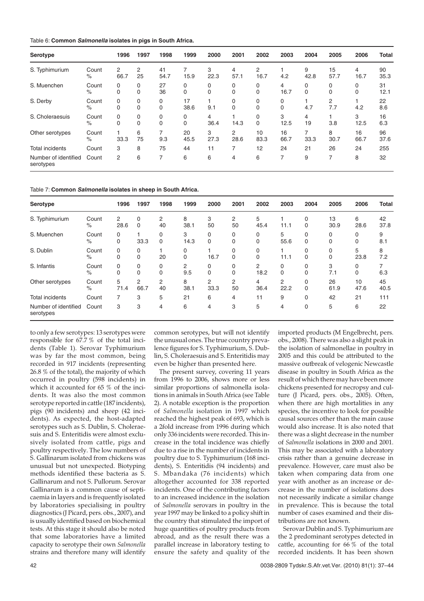| Table 6: Common Salmonella isolates in pigs in South Africa. |  |  |  |  |  |  |  |
|--------------------------------------------------------------|--|--|--|--|--|--|--|
|--------------------------------------------------------------|--|--|--|--|--|--|--|

| Serotype                          |               | 1996      | 1997             | 1998          | 1999          | 2000             | 2001          | 2002             | 2003       | 2004      | 2005       | 2006       | <b>Total</b> |
|-----------------------------------|---------------|-----------|------------------|---------------|---------------|------------------|---------------|------------------|------------|-----------|------------|------------|--------------|
| S. Typhimurium                    | Count<br>$\%$ | 2<br>66.7 | 2<br>25          | 41<br>54.7    | 15.9          | 3<br>22.3        | 4<br>57.1     | 2<br>16.7        | 4.2        | 9<br>42.8 | 15<br>57.7 | 4<br>16.7  | 90<br>35.3   |
| S. Muenchen                       | Count<br>$\%$ | 0<br>0    | 0<br>$\mathbf 0$ | 27<br>36      | 0<br>0        | 0<br>$\mathbf 0$ | 0<br>0        | 0<br>0           | 4<br>16.7  | 0<br>0    | 0<br>0     | 0<br>0     | 31<br>12.1   |
| S. Derby                          | Count<br>$\%$ | 0<br>0    | 0<br>$\mathbf 0$ | 0<br>$\Omega$ | 17<br>38.6    | 9.1              | 0<br>$\Omega$ | 0<br>$\mathbf 0$ | 0<br>0     | 4.7       | 2<br>7.7   | 4.2        | 22<br>8.6    |
| S. Choleraesuis                   | Count<br>%    | 0<br>0    | 0<br>$\mathbf 0$ | 0<br>$\Omega$ | 0<br>$\Omega$ | 4<br>36.4        | 14.3          | 0<br>$\Omega$    | 3<br>12.5  | 4<br>19   | 3.8        | 3<br>12.5  | 16<br>6.3    |
| Other serotypes                   | Count<br>$\%$ | 33.3      | 6<br>75          | 9.3           | 20<br>45.5    | 3<br>27.3        | 2<br>28.6     | 10<br>83.3       | 16<br>66.7 | 7<br>33.3 | 8<br>30.7  | 16<br>66.7 | 96<br>37.6   |
| <b>Total incidents</b>            | Count         | 3         | 8                | 75            | 44            | 11               |               | 12               | 24         | 21        | 26         | 24         | 255          |
| Number of identified<br>serotypes | Count         | 2         | 6                | 7             | 6             | 6                | 4             | 6                | 7          | 9         | 7          | 8          | 32           |

Table 7: **Common Salmonella isolates in sheep in South Africa.**

| Serotype                          |               | 1996      | 1997      | 1998          | 1999      | 2000          | 2001          | 2002          | 2003      | 2004                 | 2005          | 2006       | <b>Total</b> |
|-----------------------------------|---------------|-----------|-----------|---------------|-----------|---------------|---------------|---------------|-----------|----------------------|---------------|------------|--------------|
| S. Typhimurium                    | Count<br>%    | 2<br>28.6 | 0<br>0    | 2<br>40       | 8<br>38.1 | 3<br>50       | 2<br>50       | 5<br>45.4     | 11.1      | $\Omega$<br>$\Omega$ | 13<br>30.9    | 6<br>28.6  | 42<br>37.8   |
| S. Muenchen                       | Count<br>$\%$ | 0<br>0    | 33.3      | 0<br>$\Omega$ | 3<br>14.3 | 0<br>$\Omega$ | 0<br>0        | 0<br>$\Omega$ | 5<br>55.6 | $\Omega$<br>$\Omega$ | $\Omega$<br>0 | 0<br>0     | 9<br>8.1     |
| S. Dublin                         | Count<br>$\%$ | 0<br>0    | 0<br>0    | 20            | 0<br>0    | 16.7          | 0<br>$\Omega$ | 0<br>$\Omega$ | 11.1      | 0<br>$\Omega$        | 0<br>$\Omega$ | 5<br>23.8  | 8<br>7.2     |
| S. Infantis                       | Count<br>$\%$ | 0<br>0    | 0<br>0    | 0<br>$\Omega$ | 2<br>9.5  | 0<br>$\Omega$ | 0<br>0        | 2<br>18.2     | 0<br>0    | 0<br>$\Omega$        | 3<br>7.1      | 0<br>0     | 6.3          |
| Other serotypes                   | Count<br>$\%$ | 5<br>71.4 | 2<br>66.7 | 2<br>40       | 8<br>38.1 | 2<br>33.3     | 2<br>50       | 4<br>36.4     | 2<br>22.2 | 0<br>0               | 26<br>61.9    | 10<br>47.6 | 45<br>40.5   |
| <b>Total incidents</b>            | Count         | 7         | 3         | 5             | 21        | 6             | 4             | 11            | 9         | $\Omega$             | 42            | 21         | 111          |
| Number of identified<br>serotypes | Count         | 3         | 3         | 4             | 6         | 4             | 3             | 5             | 4         | 0                    | 5             | 6          | 22           |

to only a few serotypes: 13 serotypes were responsible for 67.7 % of the total incidents (Table 1). Serovar Typhimurium was by far the most common, being recorded in 917 incidents (representing 26.8 % of the total), the majority of which occurred in poultry (598 incidents) in which it accounted for 65 % of the incidents. It was also the most common serotype reported in cattle (187 incidents), pigs (90 incidents) and sheep (42 incidents). As expected, the host-adapted serotypes such as S. Dublin, S. Choleraesuis and S. Enteritidis were almost exclusively isolated from cattle, pigs and poultry respectively. The low numbers of S. Gallinarum isolated from chickens was unusual but not unexpected. Biotyping methods identified these bacteria as S. Gallinarum and not S. Pullorum. Serovar Gallinarum is a common cause of septicaemia in layers and is frequently isolated by laboratories specialising in poultry diagnostics (J Picard, pers. obs., 2007), and is usually identified based on biochemical tests. At this stage it should also be noted that some laboratories have a limited capacity to serotype their own *Salmonella* strains and therefore many will identify

common serotypes, but will not identify the unusual ones. The true country prevalence figures for S. Typhimurium, S. Dublin, S. Choleraesuis and S. Enteritidis may even be higher than presented here.

The present survey, covering 11 years from 1996 to 2006, shows more or less similar proportions of salmonella isolations in animals in South Africa (see Table 2). A notable exception is the proportion of *Salmonella* isolation in 1997 which reached the highest peak of 693, which is a 2fold increase from 1996 during which only 336 incidents were recorded. This increase in the total incidence was chiefly due to a rise in the number of incidents in poultry due to S. Typhimurium (168 incidents), S. Enteritidis (94 incidents) and S. Mbandaka (76 incidents) which altogether accounted for 338 reported incidents. One of the contributing factors to an increased incidence in the isolation of *Salmonella* serovars in poultry in the year 1997 may be linked to a policy shift in the country that stimulated the import of huge quantities of poultry products from abroad, and as the result there was a parallel increase in laboratory testing to ensure the safety and quality of the imported products (M Engelbrecht, pers. obs., 2008). There was also a slight peak in the isolation of salmonellae in poultry in 2005 and this could be attributed to the massive outbreak of velogenic Newcastle disease in poultry in South Africa as the result of which there may have been more chickens presented for necropsy and culture (J Picard, pers. obs., 2005). Often, when there are high mortalities in any species, the incentive to look for possible causal sources other than the main cause would also increase. It is also noted that there was a slight decrease in the number of *Salmonella* isolations in 2000 and 2001. This may be associated with a laboratory crisis rather than a genuine decrease in prevalence. However, care must also be taken when comparing data from one year with another as an increase or decrease in the number of isolations does not necessarily indicate a similar change in prevalence. This is because the total number of cases examined and their distributions are not known.

Serovar Dublin and S. Typhimurium are the 2 predominant serotypes detected in cattle, accounting for  $66\%$  of the total recorded incidents. It has been shown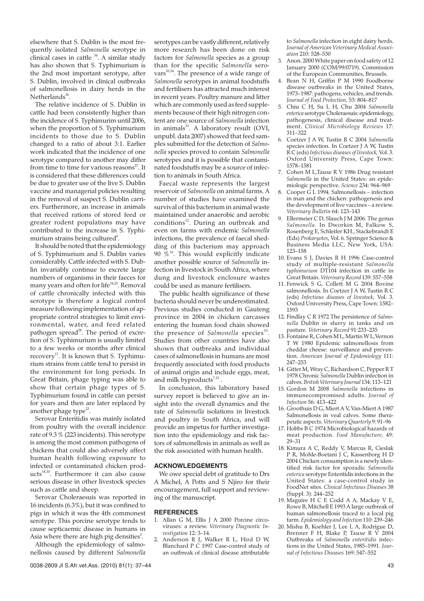elsewhere that S. Dublin is the most frequently isolated *Salmonella* serotype in clinical cases in cattle  $34$ . A similar study has also shown that S. Typhimurium is the 2nd most important serotype, after S. Dublin, involved in clinical outbreaks of salmonellosis in dairy herds in the Netherlands $36$ .

The relative incidence of S. Dublin in cattle had been consistently higher than the incidence of S. Typhimurim until 2006, when the proportion of S. Typhimurium incidents to those due to S. Dublin changed to a ratio of about 3:1. Earlier work indicated that the incidence of one serotype compared to another may differ from time to time for various reasons $27$ . It is considered that these differences could be due to greater use of the live S. Dublin vaccine and managerial policies resulting in the removal of suspect S. Dublin carriers. Furthermore, an increase in animals that received rations of stored feed or greater rodent populations may have contributed to the increase in S. Typhimurium strains being cultured<sup>6</sup>.

It should be noted that the epidemiology of S. Typhimurium and S. Dublin varies considerably. Cattle infected with S. Dublin invariably continue to excrete large numbers of organisms in their faeces for many years and often for life $14,25$ . Removal of cattle chronically infected with this serotype is therefore a logical control measure following implementation of appropriate control strategies to limit environmental, water, and feed related pathogen spread<sup>28</sup>. The period of excretion of S. Typhimurium is usually limited to a few weeks or months after clinical recovery<sup>11</sup>. It is known that S. Typhimurium strains from cattle tend to persist in the environment for long periods. In Great Britain, phage typing was able to show that certain phage types of S. Typhimurium found in cattle can persist for years and then are later replaced by another phage type<sup>23</sup>.

Serovar Enteritidis was mainly isolated from poultry with the overall incidence rate of 9.3 % (223 incidents). This serotype is among the most common pathogens of chickens that could also adversely affect human health following exposure to infected or contaminated chicken prod $ucts<sup>18,30</sup>$ . Furthermore it can also cause serious disease in other livestock species such as cattle and sheep.

Serovar Choleraesuis was reported in 16 incidents (6.3%), but it was confined to pigs in which it was the 4th commonest serotype. This porcine serotype tends to cause septicaemic disease in humans in Asia where there are high pig densities<sup>5</sup>.

Although the epidemiology of salmonellosis caused by different *Salmonella* serotypes can be vastly different, relatively more research has been done on risk factors for *Salmonella* species as a group than for the specific *Salmonella* serovars<sup>10,34</sup>. The presence of a wide range of *Salmonella* serotypes in animal foodstuffs and fertilisers has attracted much interest in recent years. Poultry manure and litter which are commonly used as feed supplements because of their high nitrogen content are one source of *Salmonella* infection in animals $31$ . A laboratory result (OVI, unpubl. data 2007) showed that feed samples submitted for the detection of *Salmonella* species proved to contain *Salmonella* serotypes and it is possible that contaminated foodstuffs may be a source of infection to animals in South Africa.

Faecal waste represents the largest reservoir of *Salmonella* on animal farms. A number of studies have examined the survival of this bacterium in animal waste maintained under anaerobic and aerobic conditions<sup>12</sup>. During an outbreak and even on farms with endemic *Salmonella* infections, the prevalence of faecal shedding of this bacterium may approach 90  $\%$ <sup>16</sup>. This would explicitly indicate another possible source of *Salmonella* infection in livestock in South Africa, where dung and livestock enclosure wastes could be used as manure fertilisers.

The public health significance of these bacteria should never be underestimated. Previous studies conducted in Gauteng province in 2004 in chicken carcasses entering the human food chain showed the presence of *Salmonella* species<sup>35</sup>. Studies from other countries have also shown that outbreaks and individual cases of salmonellosis in humans are most frequently associated with food products of animal origin and include eggs, meat, and milk by products $7,13$ .

In conclusion, this laboratory based survey report is believed to give an insight into the overall dynamics and the rate of *Salmonella* isolations in livestock and poultry in South Africa, and will provide an impetus for further investigation into the epidemiology and risk factors of salmonellosis in animals as well as the risk associated with human health.

## **ACKNOWLEDGEMENTS**

We owe special debt of gratitude to Drs A Michel, A Potts and S Njiro for their encouragement, full support and reviewing of the manuscript.

# **REFERENCES**

- 1. Allan G M, Ellis J A 2000 Porcine circoviruses: a review. *Veterinary Diagnostic Investigation* 12: 3–14.
- 2. Anderson R J, Walker R L, Hird D W, Blanchard P C 1997 Case-control study of an outbreak of clinical disease attributable

to *Salmonella* infection in eight dairy herds. *Journal of American Veterinary Medical Association* 210: 528–530

- 3. Anon. 2000 White paper on food safety of 12 January 2000 (COM/99/0719). Commission of the European Communities, Brussels.
- Bean N H, Griffin P M 1990 Foodborne disease outbreaks in the United States, 1973–1987: pathogens, vehicles, and trends. *Journal of Food Protection,* 53: 804–817
- 5. Chiu C H, Su L H, Chu 2004 *Salmonella enterica* serotype Choleraesuis: epidemiology, pathogenesis, clinical disease and treatment. *Clinical Microbiology Reviews* 17: 311–322
- 6. Coetzer J A W, Tustin R C 2004 *Salmonella* species infection. In Coetzer J A W, Tustin R C (eds) *Infectious diseases of livestock,* Vol. 3. Oxford University Press, Cape Town: 1578–1581
- 7. Cohen M L,Tauxe R V 1986 Drug resistant *Salmonella* in the United States: an epidemiologic perspective. *Science* 234: 964–969
- 8. Cooper G L 1994. Salmonellosis infection in man and the chicken: pathogenesis and the development of live vaccines – a review. *Veterinary Bulletin* 64: 123–143
- Ellermeier C D, Slauch J M 2006. The genus *Salmonella.* In Dworkin M, Falkow S, Rosenberg E, Schleifer KH., Stackebrandt E (Eds) *Prokaryotes*, Vol. 6. Springer Science & Business Media LLC, New York, USA: 123–158
- 10. Evans S J, Davies R H 1996 Case-control study of multiple-resistant *Salmonella typhimurium* DT104 infection in cattle in Great Britain.*Veterinary Record* 139: 557–558
- 11. Fenwick S G, Collett M G 2004 Bovine salmonellosis. In Coetzer J A W, Tustin R C (eds) *Infectious diseases of livestock,* Vol. 3. Oxford University Press, Cape Town: 1582– 1593
- 12. Findlay C R 1972 The persistence of *Salmonella* Dublin in slurry in tanks and on pasture. *Veterinary Record* 91:233–235
- 13. Fontaine R, Cohen M L, Martin W L,Vernon T W 1980 Epidemic salmonellosis from cheddar cheese: surveillance and prevention. *American Journal of Epidemiology* 111: 247–253
- 14. Gitter M, Wray C, Richardson C, Pepper R T 1978 Chronic *Salmonella* Dublin infection in calves.*British Veterinary Journal* 134: 113–121
- 15. Gordon M 2008 *Salmonella* infections in immunecompromised adults. *Journal of Infection* 56: 413–422
- 16. Groothuis D G, Miert A V, Van-Miert A 1987 Salmonellosis in veal calves. Some therapeutic aspects.*Veterinary Quarterly* 9: 91–96
- 17. Hobbs B C 1974 Microbiological hazards of meat production. *Food Manufacture,* 49: 29–31
- 18. Kimura A C, Reddy V, Marcus R, Cieslak P R, Mohle-Boetani J C, Kassenborg H D 2004 Chicken consumption is a newly identified risk factor for sporadic *Salmonella enterica* serotype Enteritidis infections in the United States: a case-control study in FoodNet sites. *Clinical Infectious Diseases* 38 (Suppl. 3): 244–252
- 19. Maguire H C F, Codd A A, Mackay V E, Rowe B, Mitchell E 1993 A large outbreak of human salmonellosis traced to a local pig farm.*Epidemiology and Infection* 110: 239–246
- 20. Mishu B, Koehler J, Lee L A, Rodrigue D, Brenner F H, Blake P, Tauxe R V 2004 Outbreaks of *Salmonella enteritidis* infections in the United States, 1985–1991. *Journal of Infectious Diseases* 169: 547–552